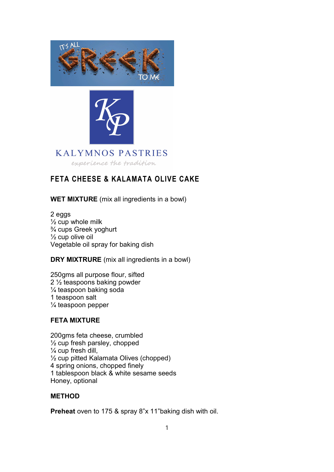



# **KALYMNOS PASTRIES**

experience the tradition

## FETA CHEESE & KALAMATA OLIVE CAKE

WET MIXTURE (mix all ingredients in a bowl)

2 eggs  $\frac{1}{2}$  cup whole milk ¾ cups Greek yoghurt  $\frac{1}{2}$  cup olive oil Vegetable oil spray for baking dish

DRY MIXTRURE (mix all ingredients in a bowl)

250gms all purpose flour, sifted 2 ½ teaspoons baking powder ¼ teaspoon baking soda 1 teaspoon salt ¼ teaspoon pepper

### FETA MIXTURE

200gms feta cheese, crumbled  $\frac{1}{2}$  cup fresh parsley, chopped  $\frac{1}{4}$  cup fresh dill, ½ cup pitted Kalamata Olives (chopped) 4 spring onions, chopped finely 1 tablespoon black & white sesame seeds Honey, optional

### **METHOD**

Preheat oven to 175 & spray 8"x 11"baking dish with oil.